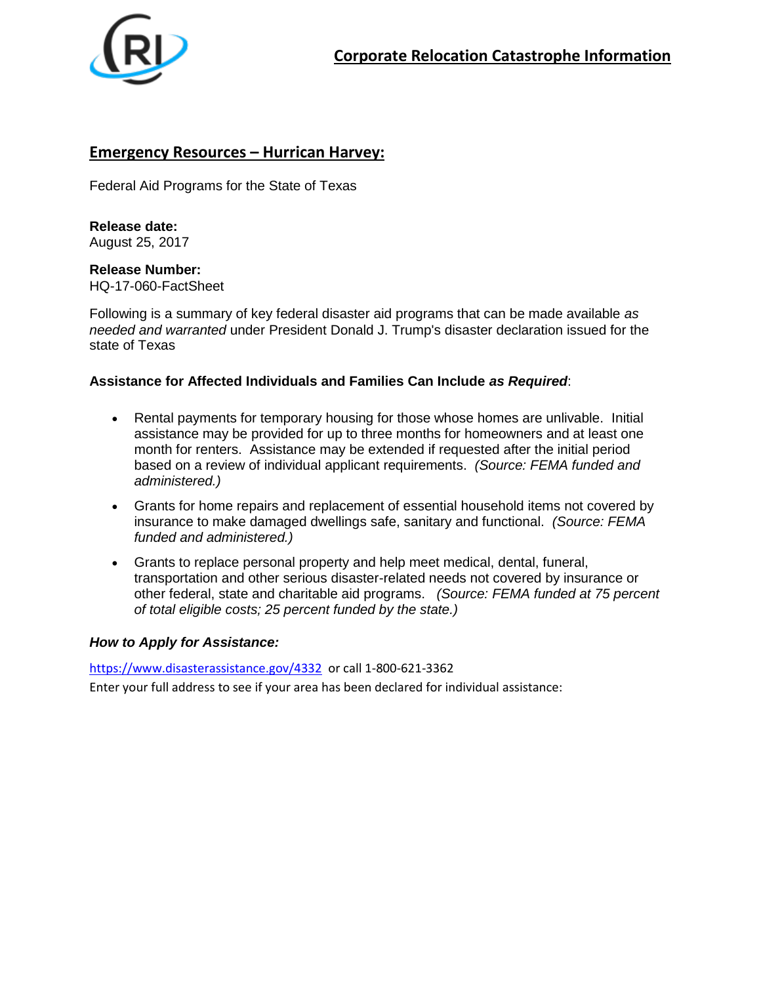

## **Emergency Resources – Hurrican Harvey:**

Federal Aid Programs for the State of Texas

**Release date:** August 25, 2017

**Release Number:** HQ-17-060-FactSheet

Following is a summary of key federal disaster aid programs that can be made available *as needed and warranted* under President Donald J. Trump's disaster declaration issued for the state of Texas

## **Assistance for Affected Individuals and Families Can Include** *as Required*:

- Rental payments for temporary housing for those whose homes are unlivable. Initial assistance may be provided for up to three months for homeowners and at least one month for renters. Assistance may be extended if requested after the initial period based on a review of individual applicant requirements. *(Source: FEMA funded and administered.)*
- Grants for home repairs and replacement of essential household items not covered by insurance to make damaged dwellings safe, sanitary and functional. *(Source: FEMA funded and administered.)*
- Grants to replace personal property and help meet medical, dental, funeral, transportation and other serious disaster-related needs not covered by insurance or other federal, state and charitable aid programs. *(Source: FEMA funded at 75 percent of total eligible costs; 25 percent funded by the state.)*

#### *How to Apply for Assistance:*

<https://www.disasterassistance.gov/4332> or call 1-800-621-3362

Enter your full address to see if your area has been declared for individual assistance: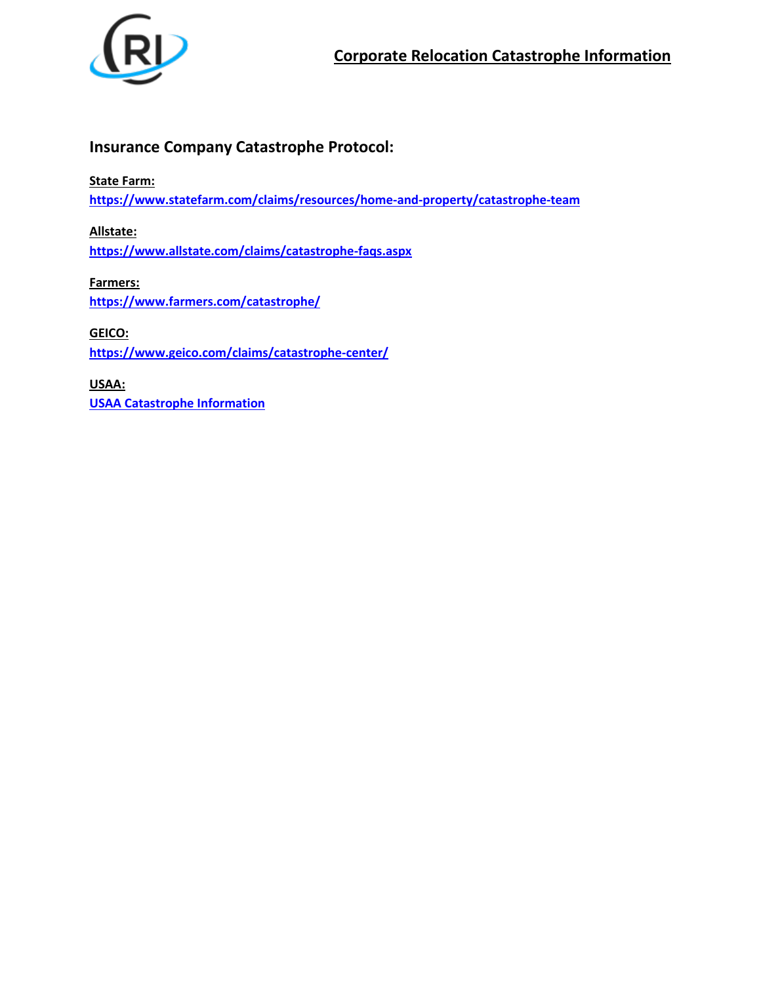

# **Insurance Company Catastrophe Protocol:**

**State Farm:**

**<https://www.statefarm.com/claims/resources/home-and-property/catastrophe-team>**

**Allstate: <https://www.allstate.com/claims/catastrophe-faqs.aspx>**

**Farmers: <https://www.farmers.com/catastrophe/>**

**GEICO: <https://www.geico.com/claims/catastrophe-center/>**

**USAA: [USAA Catastrophe Information](https://www.usaa.com/inet/wc/advice_about_protection?0&ds_s=CPC&ds_e=GOOGLE&ds_c=BrandUSAA_GEO_Catastrophe_MBM&ds_ag=KeywordOnly&ds_k=%2Busaa&gclid=Cj0KCQjw_o7NBRDgARIsAKvAgt1ZasOK4CKc0b68SdjjVoKHDRtpV4dxZDeDNq51u59kHTZSzAHmGkAaAm8_EALw_wcB&gclsrc=aw.ds&dc)**